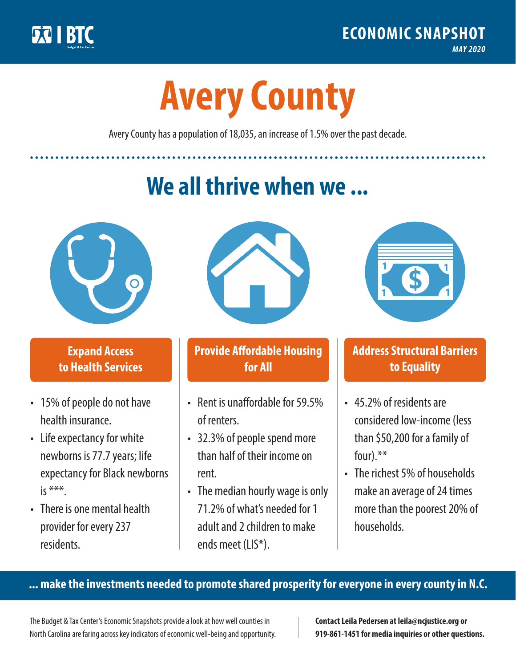

**1**

# **Avery County**

Avery County has a population of 18,035, an increase of 1.5% over the past decade.

# **We all thrive when we ...**



**\$ <sup>1</sup>**

**\$ <sup>1</sup>**

### **Expand Access to Health Services**

- 15% of people do not have health insurance.
- Life expectancy for white newborns is 77.7 years; life expectancy for Black newborns is  $***$
- There is one mental health provider for every 237 residents.



### **Provide Affordable Housing for All**

- Rent is unaffordable for 59.5% of renters.
- 32.3% of people spend more than half of their income on rent.
- The median hourly wage is only 71.2% of what's needed for 1 adult and 2 children to make ends meet (LIS\*).



## **Address Structural Barriers to Equality**

- 45.2% of residents are considered low-income (less than \$50,200 for a family of four) $.**$
- The richest 5% of households make an average of 24 times more than the poorest 20% of households.

#### **... make the investments needed to promote shared prosperity for everyone in every county in N.C.**

The Budget & Tax Center's Economic Snapshots provide a look at how well counties in North Carolina are faring across key indicators of economic well-being and opportunity.